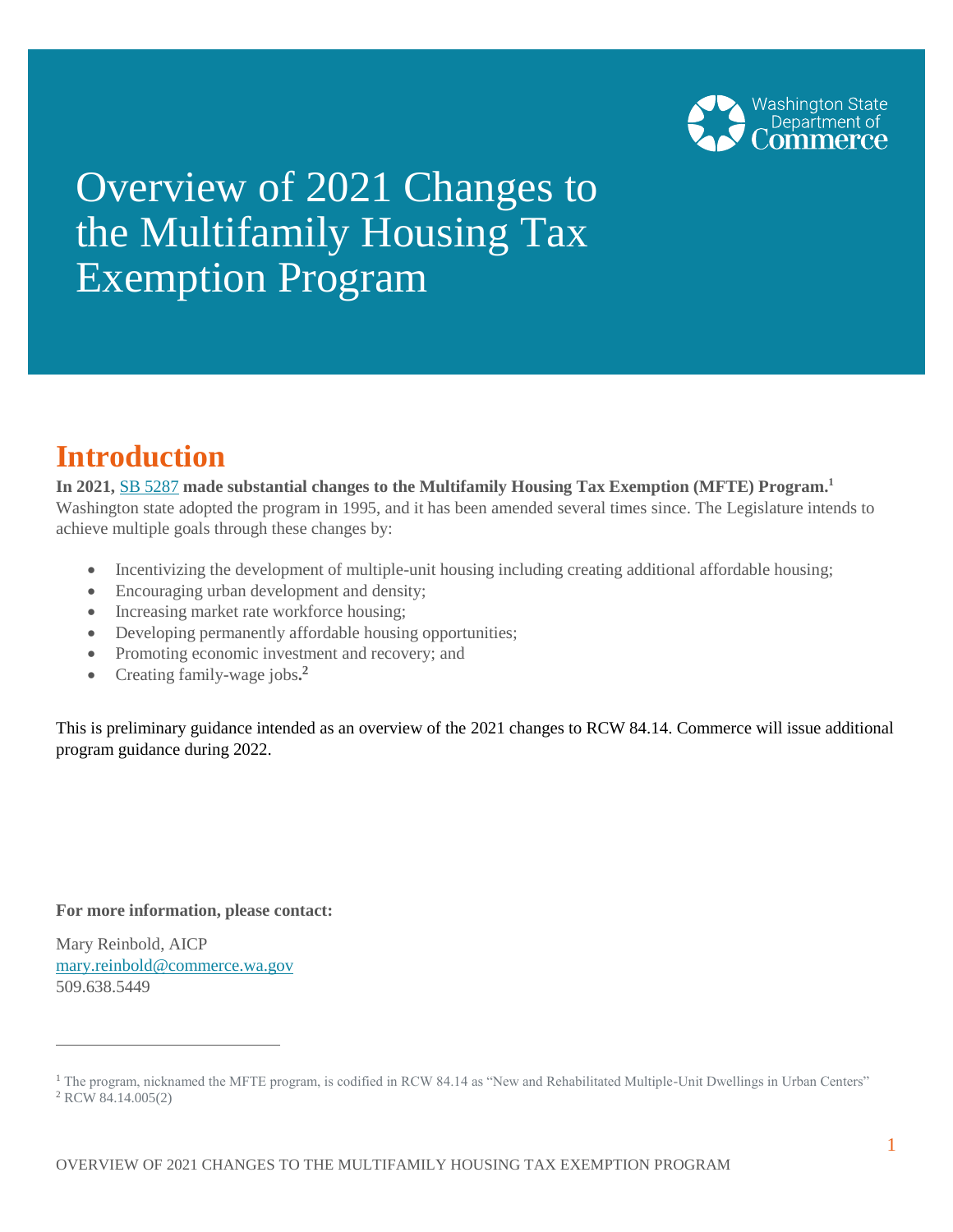

# Overview of 2021 Changes to the Multifamily Housing Tax Exemption Program

### **Introduction**

**In 2021,** [SB 5287](http://lawfilesext.leg.wa.gov/biennium/2021-22/Pdf/Bills/Session%20Laws/Senate/5287-S2.SL.pdf?q=20210517161448) **made substantial changes to the Multifamily Housing Tax Exemption (MFTE) Program.<sup>1</sup>** Washington state adopted the program in 1995, and it has been amended several times since. The Legislature intends to achieve multiple goals through these changes by:

- Incentivizing the development of multiple-unit housing including creating additional affordable housing;
- Encouraging urban development and density;
- Increasing market rate workforce housing;
- Developing permanently affordable housing opportunities;
- Promoting economic investment and recovery; and
- Creating family-wage jobs**. 2**

This is preliminary guidance intended as an overview of the 2021 changes to RCW 84.14. Commerce will issue additional program guidance during 2022.

**For more information, please contact:**

Mary Reinbold, AICP [mary.reinbold@commerce.wa.gov](mailto:mary.reinbold@commerce.wa.gov)  509.638.5449

<sup>&</sup>lt;sup>1</sup> The program, nicknamed the MFTE program, is codified in RCW 84.14 as "New and Rehabilitated Multiple-Unit Dwellings in Urban Centers" <sup>2</sup> RCW 84.14.005(2)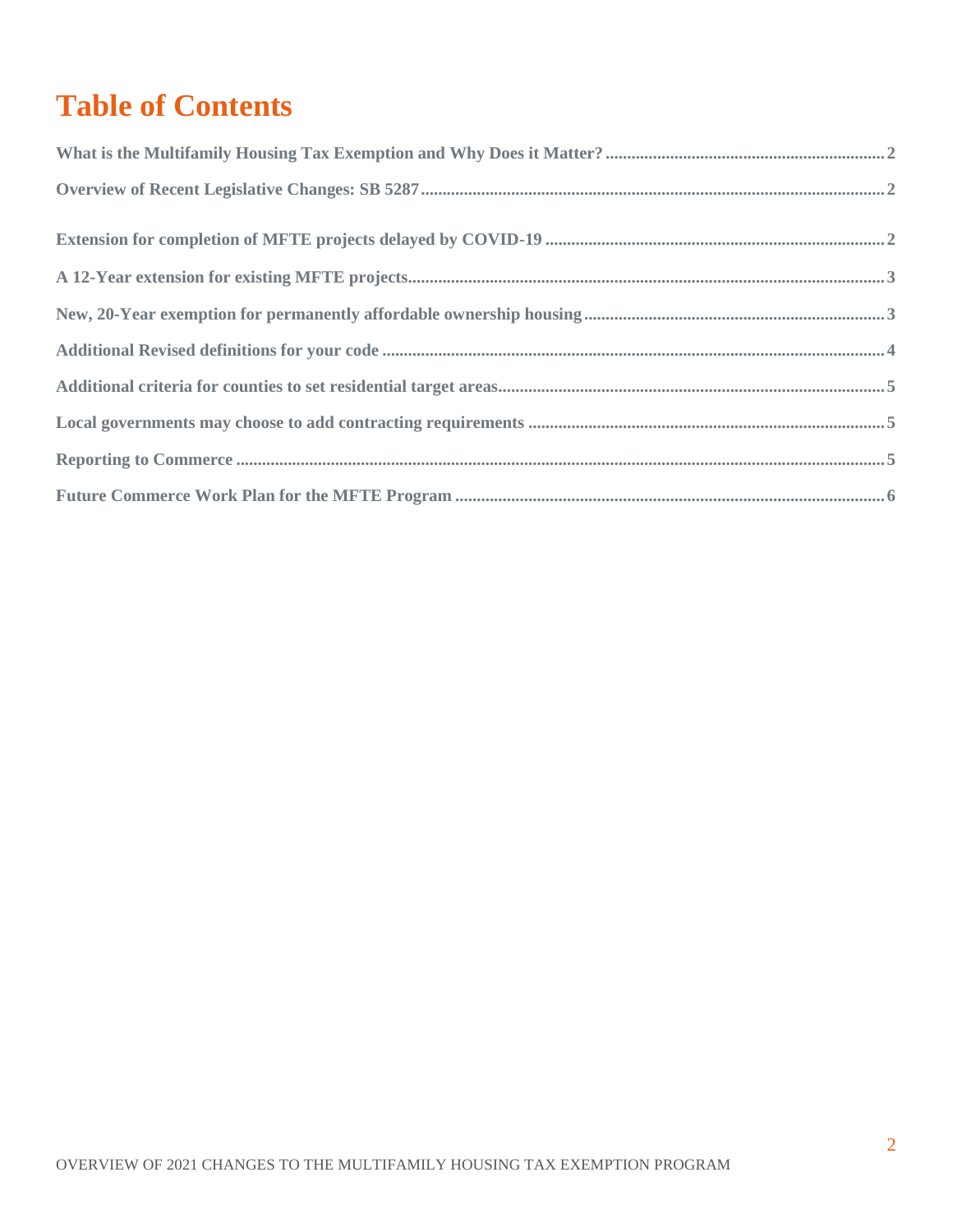## **Table of Contents**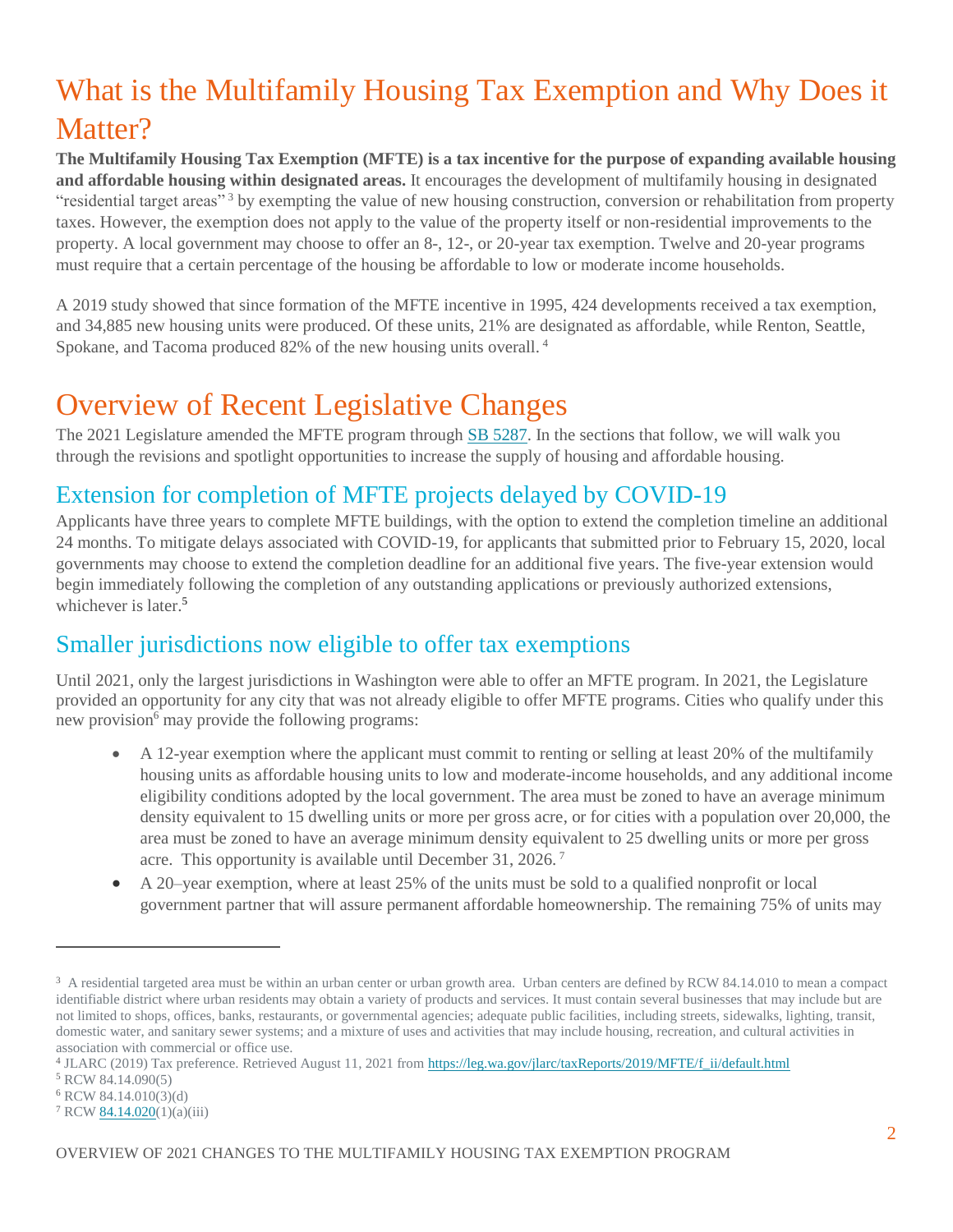## <span id="page-2-0"></span>What is the Multifamily Housing Tax Exemption and Why Does it Matter?

**The Multifamily Housing Tax Exemption (MFTE) is a tax incentive for the purpose of expanding available housing and affordable housing within designated areas.** It encourages the development of multifamily housing in designated "residential target areas" <sup>3</sup> by exempting the value of new housing construction, conversion or rehabilitation from property taxes. However, the exemption does not apply to the value of the property itself or non-residential improvements to the property. A local government may choose to offer an 8-, 12-, or 20-year tax exemption. Twelve and 20-year programs must require that a certain percentage of the housing be affordable to low or moderate income households.

A 2019 study showed that since formation of the MFTE incentive in 1995, 424 developments received a tax exemption, and 34,885 new housing units were produced. Of these units, 21% are designated as affordable, while Renton, Seattle, Spokane, and Tacoma produced 82% of the new housing units overall.<sup>4</sup>

### <span id="page-2-1"></span>Overview of Recent Legislative Changes

The 2021 Legislature amended the MFTE program through [SB 5287.](http://lawfilesext.leg.wa.gov/biennium/2021-22/Pdf/Bills/Session%20Laws/Senate/5287-S2.SL.pdf?q=20210517161448) In the sections that follow, we will walk you through the revisions and spotlight opportunities to increase the supply of housing and affordable housing.

#### <span id="page-2-2"></span>Extension for completion of MFTE projects delayed by COVID-19

Applicants have three years to complete MFTE buildings, with the option to extend the completion timeline an additional 24 months. To mitigate delays associated with COVID-19, for applicants that submitted prior to February 15, 2020, local governments may choose to extend the completion deadline for an additional five years. The five-year extension would begin immediately following the completion of any outstanding applications or previously authorized extensions, whichever is later.<sup>5</sup>

#### Smaller jurisdictions now eligible to offer tax exemptions

Until 2021, only the largest jurisdictions in Washington were able to offer an MFTE program. In 2021, the Legislature provided an opportunity for any city that was not already eligible to offer MFTE programs. Cities who qualify under this new provision $6 \text{ may provide the following programs:}$ 

- A 12-year exemption where the applicant must commit to renting or selling at least 20% of the multifamily housing units as affordable housing units to low and moderate-income households, and any additional income eligibility conditions adopted by the local government. The area must be zoned to have an average minimum density equivalent to 15 dwelling units or more per gross acre, or for cities with a population over 20,000, the area must be zoned to have an average minimum density equivalent to 25 dwelling units or more per gross acre. This opportunity is available until December 31, 2026. <sup>7</sup>
- A 20–year exemption, where at least 25% of the units must be sold to a qualified nonprofit or local government partner that will assure permanent affordable homeownership. The remaining 75% of units may

<sup>&</sup>lt;sup>3</sup> A residential targeted area must be within an urban center or urban growth area. Urban centers are defined by RCW 84.14.010 to mean a compact identifiable district where urban residents may obtain a variety of products and services. It must contain several businesses that may include but are not limited to shops, offices, banks, restaurants, or governmental agencies; adequate public facilities, including streets, sidewalks, lighting, transit, domestic water, and sanitary sewer systems; and a mixture of uses and activities that may include housing, recreation, and cultural activities in association with commercial or office use.

<sup>&</sup>lt;sup>4</sup> JLARC (2019) Tax preference. Retrieved August 11, 2021 from [https://leg.wa.gov/jlarc/taxReports/2019/MFTE/f\\_ii/default.html](https://leg.wa.gov/jlarc/taxReports/2019/MFTE/f_ii/default.html)

<sup>5</sup> RCW 84.14.090(5)

<sup>6</sup> RCW 84.14.010(3)(d)

<sup>7</sup> RCW [84.14.020\(](http://app.leg.wa.gov/RCW/default.aspx?cite=84.14.020)1)(a)(iii)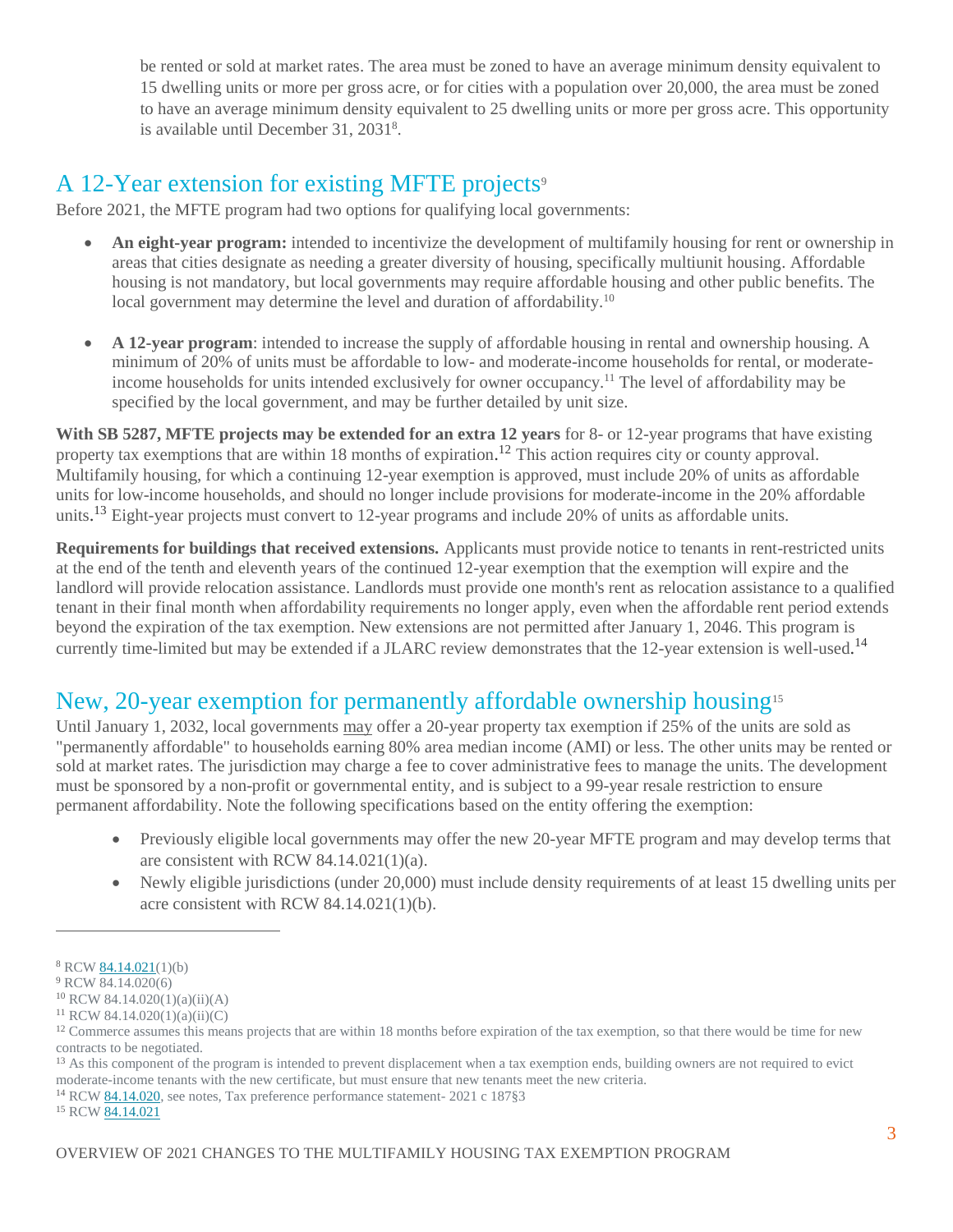be rented or sold at market rates. The area must be zoned to have an average minimum density equivalent to 15 dwelling units or more per gross acre, or for cities with a population over 20,000, the area must be zoned to have an average minimum density equivalent to 25 dwelling units or more per gross acre. This opportunity is available until December 31, 2031<sup>8</sup>.

#### <span id="page-3-0"></span>A 12-Year extension for existing MFTE projects<sup>9</sup>

Before 2021, the MFTE program had two options for qualifying local governments:

- **An eight-year program:** intended to incentivize the development of multifamily housing for rent or ownership in areas that cities designate as needing a greater diversity of housing, specifically multiunit housing. Affordable housing is not mandatory, but local governments may require affordable housing and other public benefits. The local government may determine the level and duration of affordability.<sup>10</sup>
- **A 12-year program**: intended to increase the supply of affordable housing in rental and ownership housing. A minimum of 20% of units must be affordable to low- and moderate-income households for rental, or moderateincome households for units intended exclusively for owner occupancy.<sup>11</sup> The level of affordability may be specified by the local government, and may be further detailed by unit size.

**With SB 5287, MFTE projects may be extended for an extra 12 years** for 8- or 12-year programs that have existing property tax exemptions that are within 18 months of expiration.<sup>12</sup> This action requires city or county approval. Multifamily housing, for which a continuing 12-year exemption is approved, must include 20% of units as affordable units for low-income households, and should no longer include provisions for moderate-income in the 20% affordable units.<sup>13</sup> Eight-year projects must convert to 12-year programs and include 20% of units as affordable units.

**Requirements for buildings that received extensions.** Applicants must provide notice to tenants in rent-restricted units at the end of the tenth and eleventh years of the continued 12-year exemption that the exemption will expire and the landlord will provide relocation assistance. Landlords must provide one month's rent as relocation assistance to a qualified tenant in their final month when affordability requirements no longer apply, even when the affordable rent period extends beyond the expiration of the tax exemption. New extensions are not permitted after January 1, 2046. This program is currently time-limited but may be extended if a JLARC review demonstrates that the 12-year extension is well-used.<sup>14</sup>

#### <span id="page-3-1"></span>New, 20-year exemption for permanently affordable ownership housing<sup>15</sup>

Until January 1, 2032, local governments may offer a 20-year property tax exemption if 25% of the units are sold as "permanently affordable" to households earning 80% area median income (AMI) or less. The other units may be rented or sold at market rates. The jurisdiction may charge a fee to cover administrative fees to manage the units. The development must be sponsored by a non-profit or governmental entity, and is subject to a 99-year resale restriction to ensure permanent affordability. Note the following specifications based on the entity offering the exemption:

- Previously eligible local governments may offer the new 20-year MFTE program and may develop terms that are consistent with RCW 84.14.021(1)(a).
- Newly eligible jurisdictions (under 20,000) must include density requirements of at least 15 dwelling units per acre consistent with RCW 84.14.021(1)(b).

<sup>8</sup> RCW [84.14.021\(](http://app.leg.wa.gov/RCW/default.aspx?cite=84.14.021)1)(b)

<sup>&</sup>lt;sup>9</sup> RCW 84.14.020(6)

<sup>10</sup> RCW 84.14.020(1)(a)(ii)(A)

<sup>11</sup> RCW 84.14.020(1)(a)(ii)(C)

 $12$  Commerce assumes this means projects that are within 18 months before expiration of the tax exemption, so that there would be time for new contracts to be negotiated.

<sup>&</sup>lt;sup>13</sup> As this component of the program is intended to prevent displacement when a tax exemption ends, building owners are not required to evict moderate-income tenants with the new certificate, but must ensure that new tenants meet the new criteria.

<sup>14</sup> RCW [84.14.020,](https://app.leg.wa.gov/RCW/default.aspx?cite=84.14.020) see notes, Tax preference performance statement- 2021 c 187§3

<sup>&</sup>lt;sup>15</sup> RCW [84.14.021](https://app.leg.wa.gov/RCW/default.aspx?cite=84.14.021)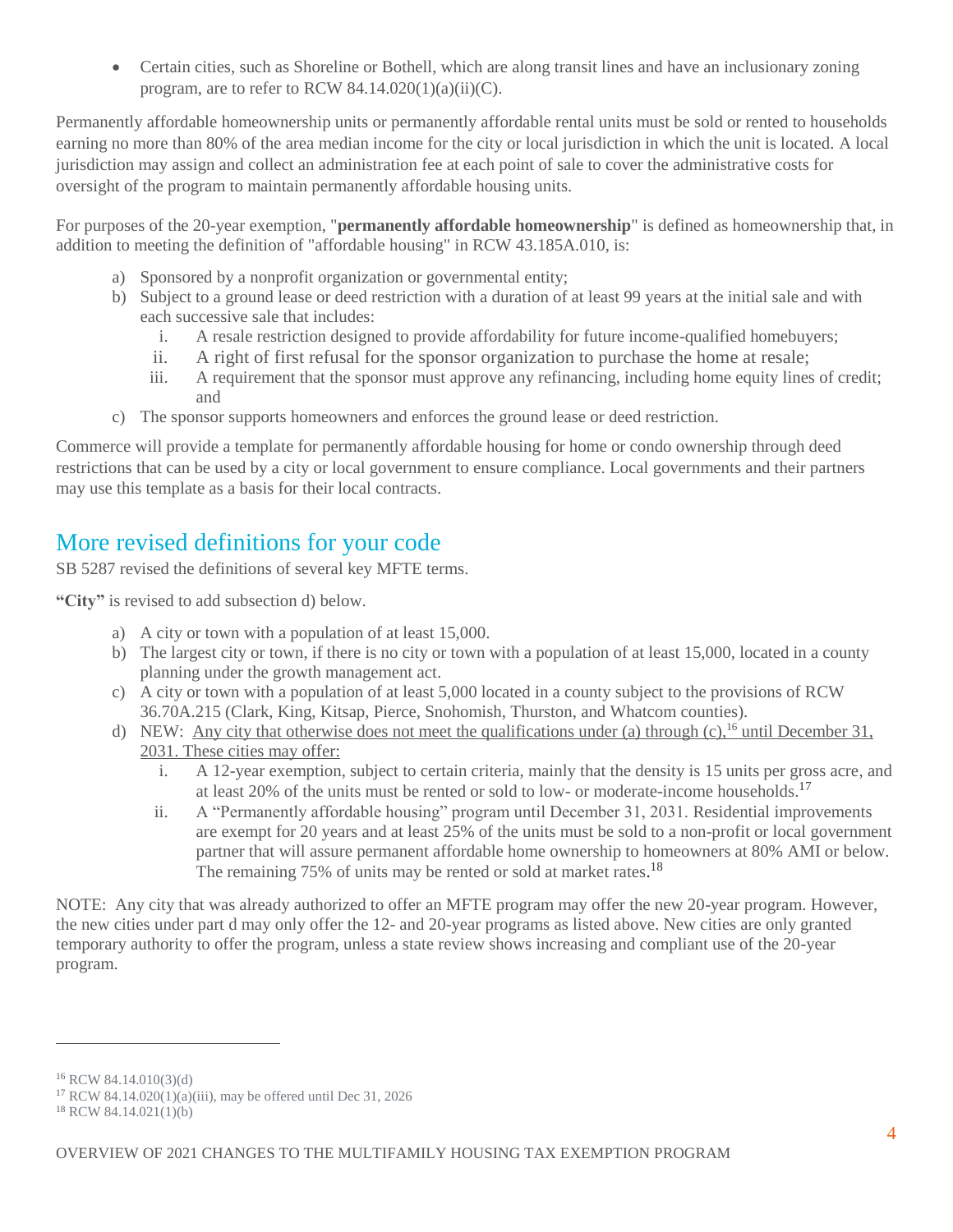Certain cities, such as Shoreline or Bothell, which are along transit lines and have an inclusionary zoning program, are to refer to RCW  $84.14.020(1)(a)(ii)(C)$ .

Permanently affordable homeownership units or permanently affordable rental units must be sold or rented to households earning no more than 80% of the area median income for the city or local jurisdiction in which the unit is located. A local jurisdiction may assign and collect an administration fee at each point of sale to cover the administrative costs for oversight of the program to maintain permanently affordable housing units.

For purposes of the 20-year exemption, "**permanently affordable homeownership**" is defined as homeownership that, in addition to meeting the definition of "affordable housing" in RCW 43.185A.010, is:

- a) Sponsored by a nonprofit organization or governmental entity;
- b) Subject to a ground lease or deed restriction with a duration of at least 99 years at the initial sale and with each successive sale that includes:
	- i. A resale restriction designed to provide affordability for future income-qualified homebuyers;
	- ii. A right of first refusal for the sponsor organization to purchase the home at resale;
	- iii. A requirement that the sponsor must approve any refinancing, including home equity lines of credit; and
- c) The sponsor supports homeowners and enforces the ground lease or deed restriction.

<span id="page-4-0"></span>Commerce will provide a template for permanently affordable housing for home or condo ownership through deed restrictions that can be used by a city or local government to ensure compliance. Local governments and their partners may use this template as a basis for their local contracts.

#### More revised definitions for your code

SB 5287 revised the definitions of several key MFTE terms.

**"City"** is revised to add subsection d) below.

- a) A city or town with a population of at least 15,000.
- b) The largest city or town, if there is no city or town with a population of at least 15,000, located in a county planning under the growth management act.
- c) A city or town with a population of at least 5,000 located in a county subject to the provisions of RCW 36.70A.215 (Clark, King, Kitsap, Pierce, Snohomish, Thurston, and Whatcom counties).
- d) NEW: Any city that otherwise does not meet the qualifications under (a) through (c),<sup>16</sup> until December 31, 2031. These cities may offer:
	- i. A 12-year exemption, subject to certain criteria, mainly that the density is 15 units per gross acre, and at least 20% of the units must be rented or sold to low- or moderate-income households.<sup>17</sup>
	- ii. A "Permanently affordable housing" program until December 31, 2031. Residential improvements are exempt for 20 years and at least 25% of the units must be sold to a non-profit or local government partner that will assure permanent affordable home ownership to homeowners at 80% AMI or below. The remaining 75% of units may be rented or sold at market rates.<sup>18</sup>

NOTE: Any city that was already authorized to offer an MFTE program may offer the new 20-year program. However, the new cities under part d may only offer the 12- and 20-year programs as listed above. New cities are only granted temporary authority to offer the program, unless a state review shows increasing and compliant use of the 20-year program.

<sup>16</sup> RCW 84.14.010(3)(d)

<sup>&</sup>lt;sup>17</sup> RCW 84.14.020(1)(a)(iii), may be offered until Dec 31, 2026

<sup>18</sup> RCW 84.14.021(1)(b)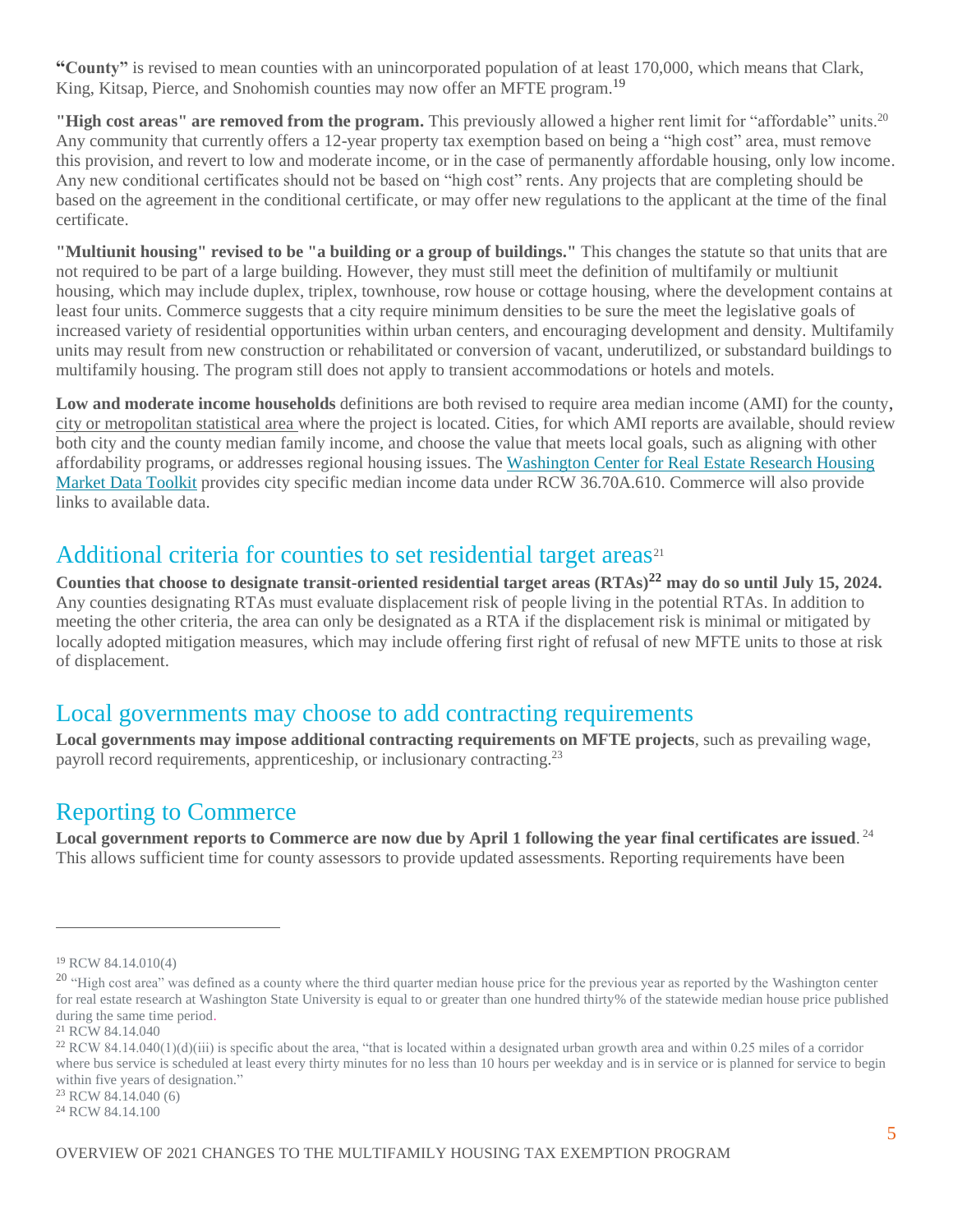**"County"** is revised to mean counties with an unincorporated population of at least 170,000, which means that Clark, King, Kitsap, Pierce, and Snohomish counties may now offer an MFTE program.<sup>19</sup>

"High cost areas" are removed from the program. This previously allowed a higher rent limit for "affordable" units.<sup>20</sup> Any community that currently offers a 12-year property tax exemption based on being a "high cost" area, must remove this provision, and revert to low and moderate income, or in the case of permanently affordable housing, only low income. Any new conditional certificates should not be based on "high cost" rents. Any projects that are completing should be based on the agreement in the conditional certificate, or may offer new regulations to the applicant at the time of the final certificate.

**"Multiunit housing" revised to be "a building or a group of buildings."** This changes the statute so that units that are not required to be part of a large building. However, they must still meet the definition of multifamily or multiunit housing, which may include duplex, triplex, townhouse, row house or cottage housing, where the development contains at least four units. Commerce suggests that a city require minimum densities to be sure the meet the legislative goals of increased variety of residential opportunities within urban centers, and encouraging development and density. Multifamily units may result from new construction or rehabilitated or conversion of vacant, underutilized, or substandard buildings to multifamily housing. The program still does not apply to transient accommodations or hotels and motels.

**Low and moderate income households** definitions are both revised to require area median income (AMI) for the county, city or metropolitan statistical area where the project is located. Cities, for which AMI reports are available, should review both city and the county median family income, and choose the value that meets local goals, such as aligning with other affordability programs, or addresses regional housing issues. Th[e Washington Center for Real Estate Research Housing](https://wcrer.be.uw.edu/housing-market-data-toolkit/)  [Market Data Toolkit](https://wcrer.be.uw.edu/housing-market-data-toolkit/) provides city specific median income data under RCW 36.70A.610. Commerce will also provide links to available data.

#### <span id="page-5-0"></span>Additional criteria for counties to set residential target areas<sup>21</sup>

**Counties that choose to designate transit-oriented residential target areas (RTAs)<sup>22</sup> may do so until July 15, 2024.** Any counties designating RTAs must evaluate displacement risk of people living in the potential RTAs. In addition to meeting the other criteria, the area can only be designated as a RTA if the displacement risk is minimal or mitigated by locally adopted mitigation measures, which may include offering first right of refusal of new MFTE units to those at risk of displacement.

#### <span id="page-5-1"></span>Local governments may choose to add contracting requirements

**Local governments may impose additional contracting requirements on MFTE projects**, such as prevailing wage, payroll record requirements, apprenticeship, or inclusionary contracting.<sup>23</sup>

#### <span id="page-5-2"></span>Reporting to Commerce

**Local government reports to Commerce are now due by April 1 following the year final certificates are issued**. 24 This allows sufficient time for county assessors to provide updated assessments. Reporting requirements have been

```
24 RCW 84.14.100
```
<sup>19</sup> RCW 84.14.010(4)

<sup>&</sup>lt;sup>20</sup> "High cost area" was defined as a county where the third quarter median house price for the previous year as reported by the Washington center for real estate research at Washington State University is equal to or greater than one hundred thirty% of the statewide median house price published during the same time period.

<sup>21</sup> RCW 84.14.040

<sup>&</sup>lt;sup>22</sup> RCW 84.14.040(1)(d)(iii) is specific about the area, "that is located within a designated urban growth area and within 0.25 miles of a corridor where bus service is scheduled at least every thirty minutes for no less than 10 hours per weekday and is in service or is planned for service to begin within five years of designation."

<sup>23</sup> RCW 84.14.040 (6)